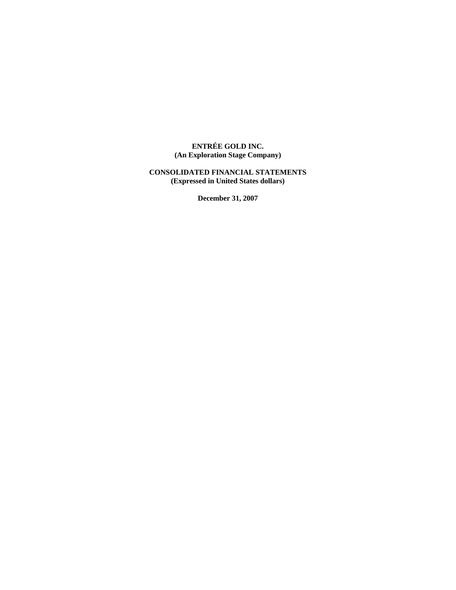## **ENTRÉE GOLD INC. (An Exploration Stage Company)**

## **CONSOLIDATED FINANCIAL STATEMENTS (Expressed in United States dollars)**

**December 31, 2007**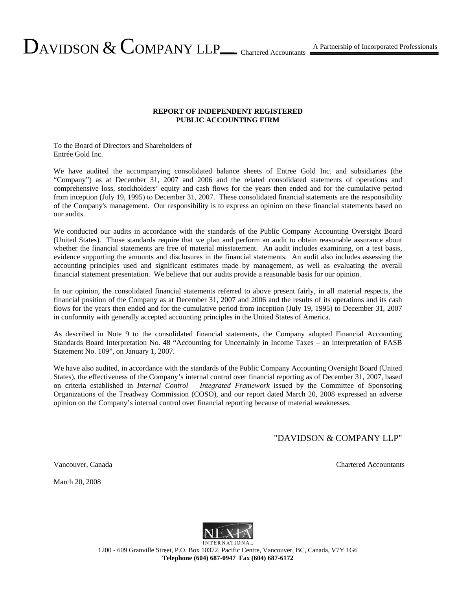## **REPORT OF INDEPENDENT REGISTERED PUBLIC ACCOUNTING FIRM**

To the Board of Directors and Shareholders of Entrée Gold Inc.

We have audited the accompanying consolidated balance sheets of Entree Gold Inc. and subsidiaries (the "Company") as at December 31, 2007 and 2006 and the related consolidated statements of operations and comprehensive loss, stockholders' equity and cash flows for the years then ended and for the cumulative period from inception (July 19, 1995) to December 31, 2007. These consolidated financial statements are the responsibility of the Company's management. Our responsibility is to express an opinion on these financial statements based on our audits.

We conducted our audits in accordance with the standards of the Public Company Accounting Oversight Board (United States). Those standards require that we plan and perform an audit to obtain reasonable assurance about whether the financial statements are free of material misstatement. An audit includes examining, on a test basis, evidence supporting the amounts and disclosures in the financial statements. An audit also includes assessing the accounting principles used and significant estimates made by management, as well as evaluating the overall financial statement presentation. We believe that our audits provide a reasonable basis for our opinion.

In our opinion, the consolidated financial statements referred to above present fairly, in all material respects, the financial position of the Company as at December 31, 2007 and 2006 and the results of its operations and its cash flows for the years then ended and for the cumulative period from inception (July 19, 1995) to December 31, 2007 in conformity with generally accepted accounting principles in the United States of America.

As described in Note 9 to the consolidated financial statements, the Company adopted Financial Accounting Standards Board Interpretation No. 48 "Accounting for Uncertainly in Income Taxes – an interpretation of FASB Statement No. 109", on January 1, 2007.

We have also audited, in accordance with the standards of the Public Company Accounting Oversight Board (United States), the effectiveness of the Company's internal control over financial reporting as of December 31, 2007, based on criteria established in *Internal Control – Integrated Framework* issued by the Committee of Sponsoring Organizations of the Treadway Commission (COSO), and our report dated March 20, 2008 expressed an adverse opinion on the Company's internal control over financial reporting because of material weaknesses.

"DAVIDSON & COMPANY LLP"

March 20, 2008



1200 - 609 Granville Street, P.O. Box 10372, Pacific Centre, Vancouver, BC, Canada, V7Y 1G6 **Telephone (604) 687-0947 Fax (604) 687-6172** 

Vancouver, Canada Chartered Accountants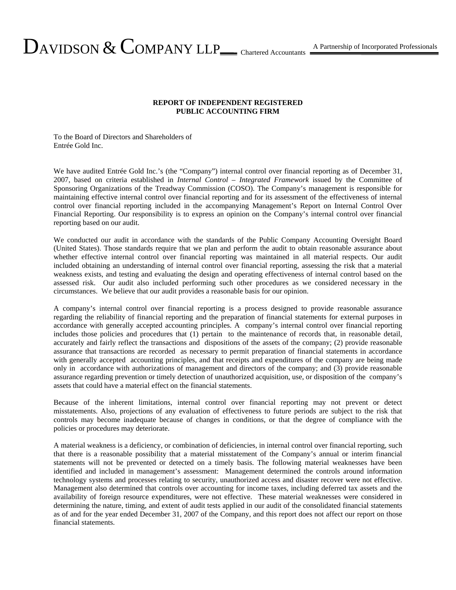## **REPORT OF INDEPENDENT REGISTERED PUBLIC ACCOUNTING FIRM**

To the Board of Directors and Shareholders of Entrée Gold Inc.

We have audited Entrée Gold Inc.'s (the "Company") internal control over financial reporting as of December 31, 2007, based on criteria established in *Internal Control – Integrated Framework* issued by the Committee of Sponsoring Organizations of the Treadway Commission (COSO). The Company's management is responsible for maintaining effective internal control over financial reporting and for its assessment of the effectiveness of internal control over financial reporting included in the accompanying Management's Report on Internal Control Over Financial Reporting. Our responsibility is to express an opinion on the Company's internal control over financial reporting based on our audit.

We conducted our audit in accordance with the standards of the Public Company Accounting Oversight Board (United States). Those standards require that we plan and perform the audit to obtain reasonable assurance about whether effective internal control over financial reporting was maintained in all material respects. Our audit included obtaining an understanding of internal control over financial reporting, assessing the risk that a material weakness exists, and testing and evaluating the design and operating effectiveness of internal control based on the assessed risk. Our audit also included performing such other procedures as we considered necessary in the circumstances. We believe that our audit provides a reasonable basis for our opinion.

A company's internal control over financial reporting is a process designed to provide reasonable assurance regarding the reliability of financial reporting and the preparation of financial statements for external purposes in accordance with generally accepted accounting principles. A company's internal control over financial reporting includes those policies and procedures that (1) pertain to the maintenance of records that, in reasonable detail, accurately and fairly reflect the transactions and dispositions of the assets of the company; (2) provide reasonable assurance that transactions are recorded as necessary to permit preparation of financial statements in accordance with generally accepted accounting principles, and that receipts and expenditures of the company are being made only in accordance with authorizations of management and directors of the company; and (3) provide reasonable assurance regarding prevention or timely detection of unauthorized acquisition, use, or disposition of the company's assets that could have a material effect on the financial statements.

Because of the inherent limitations, internal control over financial reporting may not prevent or detect misstatements. Also, projections of any evaluation of effectiveness to future periods are subject to the risk that controls may become inadequate because of changes in conditions, or that the degree of compliance with the policies or procedures may deteriorate.

A material weakness is a deficiency, or combination of deficiencies, in internal control over financial reporting, such that there is a reasonable possibility that a material misstatement of the Company's annual or interim financial statements will not be prevented or detected on a timely basis. The following material weaknesses have been identified and included in management's assessment: Management determined the controls around information technology systems and processes relating to security, unauthorized access and disaster recover were not effective. Management also determined that controls over accounting for income taxes, including deferred tax assets and the availability of foreign resource expenditures, were not effective. These material weaknesses were considered in determining the nature, timing, and extent of audit tests applied in our audit of the consolidated financial statements as of and for the year ended December 31, 2007 of the Company, and this report does not affect our report on those financial statements.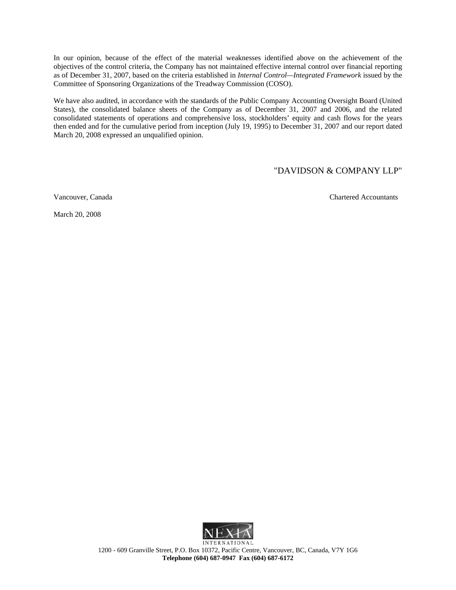In our opinion, because of the effect of the material weaknesses identified above on the achievement of the objectives of the control criteria, the Company has not maintained effective internal control over financial reporting as of December 31, 2007, based on the criteria established in *Internal Control—Integrated Framework* issued by the Committee of Sponsoring Organizations of the Treadway Commission (COSO).

We have also audited, in accordance with the standards of the Public Company Accounting Oversight Board (United States), the consolidated balance sheets of the Company as of December 31, 2007 and 2006, and the related consolidated statements of operations and comprehensive loss, stockholders' equity and cash flows for the years then ended and for the cumulative period from inception (July 19, 1995) to December 31, 2007 and our report dated March 20, 2008 expressed an unqualified opinion.

## "DAVIDSON & COMPANY LLP"

Vancouver, Canada Chartered Accountants





1200 - 609 Granville Street, P.O. Box 10372, Pacific Centre, Vancouver, BC, Canada, V7Y 1G6 **Telephone (604) 687-0947 Fax (604) 687-6172**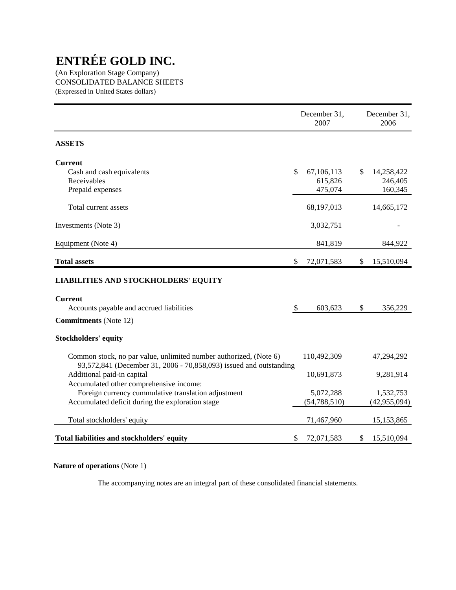(An Exploration Stage Company) CONSOLIDATED BALANCE SHEETS (Expressed in United States dollars)

|                                                                                                                                         | December 31,<br>2007 | December 31,<br>2006 |
|-----------------------------------------------------------------------------------------------------------------------------------------|----------------------|----------------------|
| <b>ASSETS</b>                                                                                                                           |                      |                      |
| <b>Current</b>                                                                                                                          |                      |                      |
| Cash and cash equivalents                                                                                                               | \$<br>67,106,113     | \$<br>14,258,422     |
| Receivables                                                                                                                             | 615,826              | 246,405              |
| Prepaid expenses                                                                                                                        | 475,074              | 160,345              |
| Total current assets                                                                                                                    | 68,197,013           | 14,665,172           |
| Investments (Note 3)                                                                                                                    | 3,032,751            |                      |
| Equipment (Note 4)                                                                                                                      | 841,819              | 844,922              |
| <b>Total assets</b>                                                                                                                     | \$<br>72,071,583     | \$<br>15,510,094     |
| <b>LIABILITIES AND STOCKHOLDERS' EQUITY</b>                                                                                             |                      |                      |
| <b>Current</b>                                                                                                                          |                      |                      |
| Accounts payable and accrued liabilities                                                                                                | \$<br>603,623        | \$<br>356,229        |
| <b>Commitments</b> (Note 12)                                                                                                            |                      |                      |
| <b>Stockholders' equity</b>                                                                                                             |                      |                      |
| Common stock, no par value, unlimited number authorized, (Note 6)<br>93,572,841 (December 31, 2006 - 70,858,093) issued and outstanding | 110,492,309          | 47,294,292           |
| Additional paid-in capital                                                                                                              | 10,691,873           | 9,281,914            |
| Accumulated other comprehensive income:                                                                                                 |                      |                      |
| Foreign currency cummulative translation adjustment                                                                                     | 5,072,288            | 1,532,753            |
| Accumulated deficit during the exploration stage                                                                                        | (54, 788, 510)       | (42, 955, 094)       |
| Total stockholders' equity                                                                                                              | 71,467,960           | 15,153,865           |
| Total liabilities and stockholders' equity                                                                                              | \$<br>72,071,583     | \$<br>15,510,094     |

**Nature of operations** (Note 1)

The accompanying notes are an integral part of these consolidated financial statements.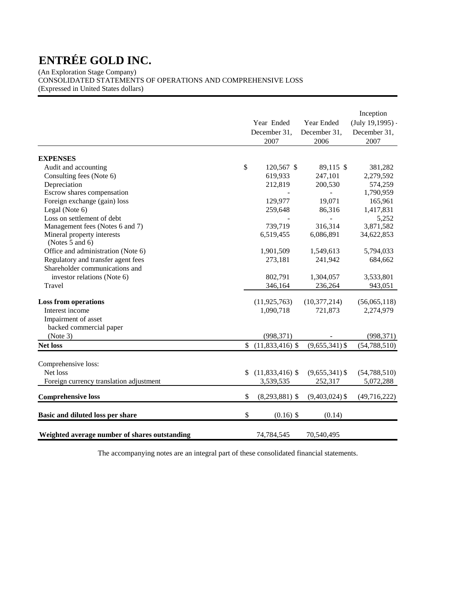(An Exploration Stage Company) CONSOLIDATED STATEMENTS OF OPERATIONS AND COMPREHENSIVE LOSS (Expressed in United States dollars)

|                                               | Year Ended<br>December 31,<br>2007 | Year Ended<br>December 31,<br>2006 | Inception<br>$(July 19, 1995) -$<br>December 31,<br>2007 |
|-----------------------------------------------|------------------------------------|------------------------------------|----------------------------------------------------------|
|                                               |                                    |                                    |                                                          |
| <b>EXPENSES</b>                               |                                    |                                    |                                                          |
| Audit and accounting                          | \$<br>120,567 \$                   | 89,115 \$                          | 381,282                                                  |
| Consulting fees (Note 6)                      | 619,933<br>212,819                 | 247,101<br>200,530                 | 2,279,592                                                |
| Depreciation<br>Escrow shares compensation    |                                    |                                    | 574,259<br>1,790,959                                     |
| Foreign exchange (gain) loss                  | 129,977                            | 19,071                             | 165,961                                                  |
|                                               |                                    |                                    | 1,417,831                                                |
| Legal (Note 6)<br>Loss on settlement of debt  | 259,648                            | 86,316                             | 5,252                                                    |
| Management fees (Notes 6 and 7)               | 739,719                            | 316,314                            | 3,871,582                                                |
| Mineral property interests                    | 6,519,455                          | 6,086,891                          | 34,622,853                                               |
| (Notes 5 and 6)                               |                                    |                                    |                                                          |
| Office and administration (Note 6)            | 1,901,509                          | 1,549,613                          | 5,794,033                                                |
| Regulatory and transfer agent fees            | 273,181                            | 241,942                            | 684,662                                                  |
| Shareholder communications and                |                                    |                                    |                                                          |
| investor relations (Note 6)                   | 802,791                            | 1,304,057                          | 3,533,801                                                |
| Travel                                        | 346,164                            | 236,264                            | 943,051                                                  |
|                                               |                                    |                                    |                                                          |
| <b>Loss from operations</b>                   | (11, 925, 763)                     | (10, 377, 214)                     | (56,065,118)                                             |
| Interest income                               | 1,090,718                          | 721,873                            | 2,274,979                                                |
| Impairment of asset                           |                                    |                                    |                                                          |
| backed commercial paper                       |                                    |                                    |                                                          |
| (Note 3)                                      | (998, 371)                         |                                    | (998, 371)                                               |
| <b>Net loss</b>                               | \$<br>$(11,833,416)$ \$            | $(9,655,341)$ \$                   | (54, 788, 510)                                           |
|                                               |                                    |                                    |                                                          |
| Comprehensive loss:                           |                                    |                                    |                                                          |
| Net loss                                      | \$<br>$(11,833,416)$ \$            | $(9,655,341)$ \$                   | (54, 788, 510)                                           |
| Foreign currency translation adjustment       | 3,539,535                          | 252,317                            | 5,072,288                                                |
| <b>Comprehensive loss</b>                     | \$<br>$(8,293,881)$ \$             | $(9,403,024)$ \$                   | (49,716,222)                                             |
| Basic and diluted loss per share              | \$<br>$(0.16)$ \$                  | (0.14)                             |                                                          |
| Weighted average number of shares outstanding | 74,784,545                         | 70,540,495                         |                                                          |

The accompanying notes are an integral part of these consolidated financial statements.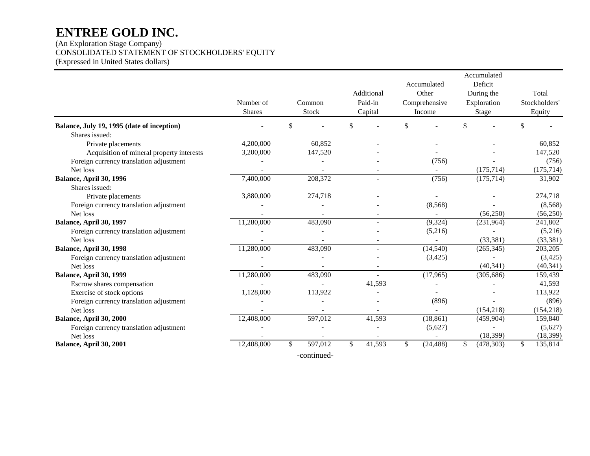(An Exploration Stage Company) CONSOLIDATED STATEMENT OF STOCKHOLDERS' EQUITY (Expressed in United States dollars)

|                                            |               |               |                |                 | Accumulated      |               |
|--------------------------------------------|---------------|---------------|----------------|-----------------|------------------|---------------|
|                                            |               |               |                | Accumulated     | Deficit          |               |
|                                            |               |               | Additional     | Other           | During the       | Total         |
|                                            | Number of     | Common        | Paid-in        | Comprehensive   | Exploration      | Stockholders' |
|                                            | <b>Shares</b> | Stock         | Capital        | Income          | Stage            | Equity        |
| Balance, July 19, 1995 (date of inception) |               | \$            | \$             | \$              | \$               | \$            |
| Shares issued:                             |               |               |                |                 |                  |               |
| Private placements                         | 4,200,000     | 60.852        |                |                 |                  | 60,852        |
| Acquisition of mineral property interests  | 3,200,000     | 147,520       |                |                 |                  | 147,520       |
| Foreign currency translation adjustment    |               |               |                | (756)           |                  | (756)         |
| Net loss                                   |               |               |                |                 | (175, 714)       | (175, 714)    |
| Balance, April 30, 1996                    | 7,400,000     | 208,372       | $\overline{a}$ | (756)           | (175, 714)       | 31,902        |
| Shares issued:                             |               |               |                |                 |                  |               |
| Private placements                         | 3,880,000     | 274,718       |                |                 |                  | 274,718       |
| Foreign currency translation adjustment    |               |               |                | (8,568)         |                  | (8,568)       |
| Net loss                                   |               |               |                | $\sim$          | (56,250)         | (56,250)      |
| Balance, April 30, 1997                    | 11,280,000    | 483,090       | $\overline{a}$ | (9, 324)        | (231,964)        | 241,802       |
| Foreign currency translation adjustment    |               |               |                | (5,216)         |                  | (5,216)       |
| Net loss                                   |               |               |                |                 | (33, 381)        | (33, 381)     |
| Balance, April 30, 1998                    | 11,280,000    | 483,090       | $\blacksquare$ | (14, 540)       | (265, 345)       | 203,205       |
| Foreign currency translation adjustment    |               |               |                | (3, 425)        |                  | (3,425)       |
| Net loss                                   |               |               |                |                 | (40, 341)        | (40, 341)     |
| Balance, April 30, 1999                    | 11,280,000    | 483,090       | $\overline{a}$ | (17,965)        | (305, 686)       | 159,439       |
| Escrow shares compensation                 |               |               | 41,593         |                 |                  | 41,593        |
| Exercise of stock options                  | 1,128,000     | 113,922       |                |                 |                  | 113,922       |
| Foreign currency translation adjustment    |               |               |                | (896)           |                  | (896)         |
| Net loss                                   |               |               |                | $\sim$          | (154, 218)       | (154, 218)    |
| Balance, April 30, 2000                    | 12,408,000    | 597,012       | 41,593         | (18, 861)       | (459,904)        | 159,840       |
| Foreign currency translation adjustment    |               |               |                | (5,627)         |                  | (5,627)       |
| Net loss                                   |               |               |                |                 | (18, 399)        | (18, 399)     |
| Balance, April 30, 2001                    | 12,408,000    | \$<br>597,012 | \$<br>41,593   | \$<br>(24, 488) | \$<br>(478, 303) | \$<br>135,814 |
|                                            |               | -continued-   |                |                 |                  |               |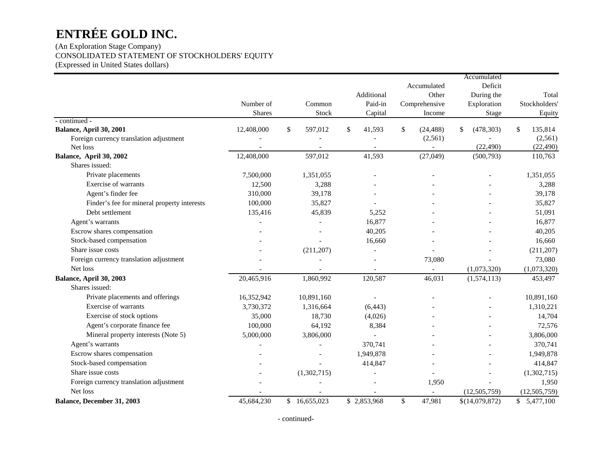## (An Exploration Stage Company) CONSOLIDATED STATEMENT OF STOCKHOLDERS' EQUITY (Expressed in United States dollars)

|                                             |               |              |              |              |                 | Accumulated      |                |
|---------------------------------------------|---------------|--------------|--------------|--------------|-----------------|------------------|----------------|
|                                             |               |              |              |              | Accumulated     | Deficit          |                |
|                                             |               |              |              | Additional   | Other           | During the       | Total          |
|                                             | Number of     |              | Common       | Paid-in      | Comprehensive   | Exploration      | Stockholders'  |
|                                             | <b>Shares</b> |              | Stock        | Capital      | Income          | Stage            | Equity         |
| - continued -                               |               |              |              |              |                 |                  |                |
| Balance, April 30, 2001                     | 12,408,000    | $\mathbb{S}$ | 597,012      | \$<br>41,593 | \$<br>(24, 488) | \$<br>(478, 303) | \$<br>135,814  |
| Foreign currency translation adjustment     |               |              |              |              | (2,561)         |                  | (2,561)        |
| Net loss                                    |               |              |              |              |                 | (22, 490)        | (22, 490)      |
| Balance, April 30, 2002                     | 12,408,000    |              | 597,012      | 41,593       | (27, 049)       | (500, 793)       | 110,763        |
| Shares issued:                              |               |              |              |              |                 |                  |                |
| Private placements                          | 7,500,000     |              | 1,351,055    |              |                 |                  | 1,351,055      |
| Exercise of warrants                        | 12,500        |              | 3,288        |              |                 |                  | 3,288          |
| Agent's finder fee                          | 310,000       |              | 39,178       |              |                 |                  | 39,178         |
| Finder's fee for mineral property interests | 100,000       |              | 35,827       |              |                 |                  | 35,827         |
| Debt settlement                             | 135,416       |              | 45,839       | 5,252        |                 |                  | 51,091         |
| Agent's warrants                            |               |              |              | 16,877       |                 |                  | 16,877         |
| Escrow shares compensation                  |               |              |              | 40,205       |                 |                  | 40,205         |
| Stock-based compensation                    |               |              |              | 16,660       |                 |                  | 16,660         |
| Share issue costs                           |               |              | (211, 207)   |              |                 |                  | (211, 207)     |
| Foreign currency translation adjustment     |               |              |              |              | 73,080          |                  | 73,080         |
| Net loss                                    |               |              |              |              |                 | (1,073,320)      | (1,073,320)    |
| Balance, April 30, 2003                     | 20,465,916    |              | 1,860,992    | 120,587      | 46,031          | (1,574,113)      | 453,497        |
| Shares issued:                              |               |              |              |              |                 |                  |                |
| Private placements and offerings            | 16,352,942    |              | 10,891,160   |              |                 |                  | 10,891,160     |
| Exercise of warrants                        | 3,730,372     |              | 1,316,664    | (6, 443)     |                 |                  | 1,310,221      |
| Exercise of stock options                   | 35,000        |              | 18,730       | (4,026)      |                 |                  | 14,704         |
| Agent's corporate finance fee               | 100,000       |              | 64,192       | 8,384        |                 |                  | 72,576         |
| Mineral property interests (Note 5)         | 5,000,000     |              | 3,806,000    |              |                 |                  | 3,806,000      |
| Agent's warrants                            |               |              |              | 370,741      |                 |                  | 370,741        |
| Escrow shares compensation                  |               |              |              | 1,949,878    |                 |                  | 1,949,878      |
| Stock-based compensation                    |               |              |              | 414,847      |                 |                  | 414,847        |
| Share issue costs                           |               |              | (1,302,715)  |              |                 |                  | (1,302,715)    |
| Foreign currency translation adjustment     |               |              |              |              | 1,950           |                  | 1,950          |
| Net loss                                    |               |              |              |              |                 | (12, 505, 759)   | (12, 505, 759) |
| Balance, December 31, 2003                  | 45,684,230    |              | \$16,655,023 | \$2,853,968  | \$<br>47,981    | \$(14,079,872)   | \$5,477,100    |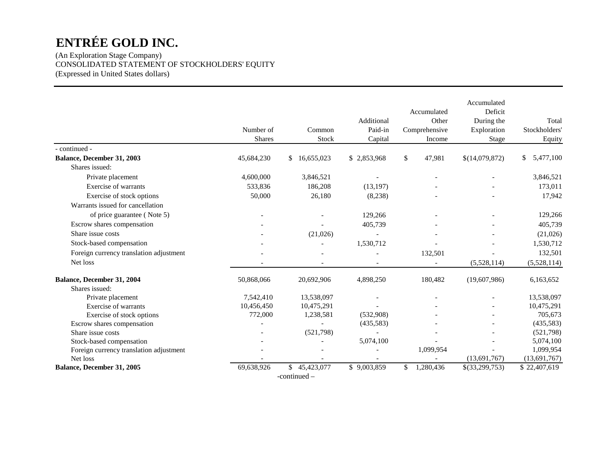(An Exploration Stage Company) CONSOLIDATED STATEMENT OF STOCKHOLDERS' EQUITY (Expressed in United States dollars)

|                                         |               |                  |             |                 | Accumulated    |                 |
|-----------------------------------------|---------------|------------------|-------------|-----------------|----------------|-----------------|
|                                         |               |                  |             | Accumulated     | Deficit        |                 |
|                                         |               |                  | Additional  | Other           | During the     | Total           |
|                                         | Number of     | Common           | Paid-in     | Comprehensive   | Exploration    | Stockholders'   |
|                                         | <b>Shares</b> | Stock            | Capital     | Income          | Stage          | Equity          |
| - continued -                           |               |                  |             |                 |                |                 |
| Balance, December 31, 2003              | 45,684,230    | \$16,655,023     | \$2,853,968 | \$<br>47,981    | \$(14,079,872) | 5,477,100<br>\$ |
| Shares issued:                          |               |                  |             |                 |                |                 |
| Private placement                       | 4,600,000     | 3,846,521        |             |                 |                | 3,846,521       |
| Exercise of warrants                    | 533,836       | 186,208          | (13, 197)   |                 |                | 173,011         |
| Exercise of stock options               | 50,000        | 26,180           | (8,238)     |                 |                | 17,942          |
| Warrants issued for cancellation        |               |                  |             |                 |                |                 |
| of price guarantee (Note 5)             |               |                  | 129,266     |                 |                | 129,266         |
| Escrow shares compensation              |               |                  | 405,739     |                 |                | 405,739         |
| Share issue costs                       |               | (21,026)         |             |                 |                | (21,026)        |
| Stock-based compensation                |               |                  | 1,530,712   |                 |                | 1,530,712       |
| Foreign currency translation adjustment |               |                  |             | 132,501         |                | 132,501         |
| Net loss                                |               |                  |             |                 | (5,528,114)    | (5,528,114)     |
| Balance, December 31, 2004              | 50,868,066    | 20,692,906       | 4,898,250   | 180,482         | (19,607,986)   | 6,163,652       |
| Shares issued:                          |               |                  |             |                 |                |                 |
| Private placement                       | 7,542,410     | 13,538,097       |             |                 |                | 13,538,097      |
| Exercise of warrants                    | 10,456,450    | 10,475,291       |             |                 |                | 10,475,291      |
| Exercise of stock options               | 772,000       | 1,238,581        | (532,908)   |                 |                | 705,673         |
| Escrow shares compensation              |               |                  | (435,583)   |                 |                | (435,583)       |
| Share issue costs                       |               | (521,798)        |             |                 |                | (521,798)       |
| Stock-based compensation                |               |                  | 5,074,100   |                 |                | 5,074,100       |
| Foreign currency translation adjustment |               |                  |             | 1,099,954       |                | 1,099,954       |
| Net loss                                |               |                  |             |                 | (13,691,767)   | (13,691,767)    |
| Balance, December 31, 2005              | 69,638,926    | \$<br>45,423,077 | \$9,003,859 | \$<br>1,280,436 | \$(33,299,753) | \$22,407,619    |
|                                         |               | $-continued$     |             |                 |                |                 |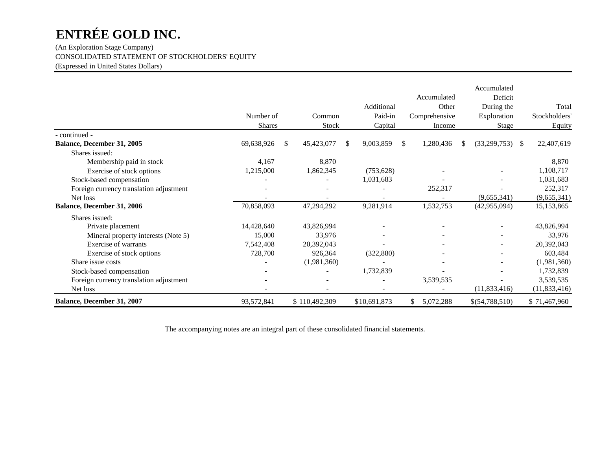(An Exploration Stage Company) CONSOLIDATED STATEMENT OF STOCKHOLDERS' EQUITY (Expressed in United States Dollars)

|                                         | Number of<br><b>Shares</b> |               | Common<br>Stock | Additional<br>Paid-in<br>Capital | Accumulated<br>Other<br>Comprehensive<br>Income |   | Accumulated<br>Deficit<br>During the<br>Exploration<br><b>Stage</b> |               | Total<br>Stockholders'<br>Equity |
|-----------------------------------------|----------------------------|---------------|-----------------|----------------------------------|-------------------------------------------------|---|---------------------------------------------------------------------|---------------|----------------------------------|
| - continued -                           |                            |               |                 |                                  |                                                 |   |                                                                     |               |                                  |
| Balance, December 31, 2005              | 69,638,926                 | <sup>\$</sup> | 45,423,077      | \$<br>9,003,859                  | \$<br>1,280,436                                 | S | (33,299,753)                                                        | <sup>\$</sup> | 22,407,619                       |
| Shares issued:                          |                            |               |                 |                                  |                                                 |   |                                                                     |               |                                  |
| Membership paid in stock                | 4,167                      |               | 8,870           |                                  |                                                 |   |                                                                     |               | 8,870                            |
| Exercise of stock options               | 1,215,000                  |               | 1,862,345       | (753, 628)                       |                                                 |   |                                                                     |               | 1,108,717                        |
| Stock-based compensation                |                            |               |                 | 1,031,683                        |                                                 |   |                                                                     |               | 1,031,683                        |
| Foreign currency translation adjustment |                            |               |                 |                                  | 252,317                                         |   |                                                                     |               | 252,317                          |
| Net loss                                |                            |               |                 |                                  |                                                 |   | (9,655,341)                                                         |               | (9,655,341)                      |
| Balance, December 31, 2006              | 70,858,093                 |               | 47,294,292      | 9,281,914                        | 1,532,753                                       |   | (42, 955, 094)                                                      |               | 15,153,865                       |
| Shares issued:                          |                            |               |                 |                                  |                                                 |   |                                                                     |               |                                  |
| Private placement                       | 14,428,640                 |               | 43,826,994      |                                  |                                                 |   |                                                                     |               | 43,826,994                       |
| Mineral property interests (Note 5)     | 15,000                     |               | 33,976          |                                  |                                                 |   |                                                                     |               | 33,976                           |
| Exercise of warrants                    | 7,542,408                  |               | 20,392,043      |                                  |                                                 |   |                                                                     |               | 20,392,043                       |
| Exercise of stock options               | 728,700                    |               | 926,364         | (322, 880)                       |                                                 |   |                                                                     |               | 603,484                          |
| Share issue costs                       |                            |               | (1,981,360)     |                                  |                                                 |   |                                                                     |               | (1,981,360)                      |
| Stock-based compensation                |                            |               |                 | 1,732,839                        |                                                 |   |                                                                     |               | 1,732,839                        |
| Foreign currency translation adjustment |                            |               |                 |                                  | 3,539,535                                       |   |                                                                     |               | 3,539,535                        |
| Net loss                                |                            |               |                 |                                  |                                                 |   | (11,833,416)                                                        |               | (11,833,416)                     |
| Balance, December 31, 2007              | 93,572,841                 |               | \$110,492,309   | \$10,691,873                     | 5,072,288                                       |   | \$(54,788,510)                                                      |               | \$71,467,960                     |

The accompanying notes are an integral part of these consolidated financial statements.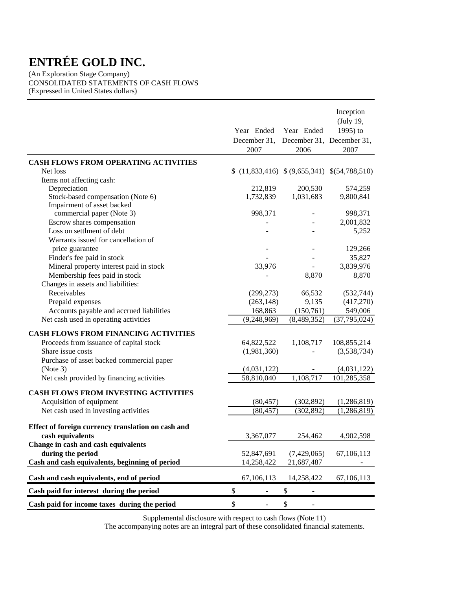(An Exploration Stage Company) CONSOLIDATED STATEMENTS OF CASH FLOWS (Expressed in United States dollars)

|                                                    |                                             |                           | Inception<br>(July 19, |
|----------------------------------------------------|---------------------------------------------|---------------------------|------------------------|
|                                                    | Year Ended                                  | Year Ended                | 1995) to               |
|                                                    | December 31,                                | December 31, December 31, |                        |
|                                                    | 2007                                        | 2006                      | 2007                   |
| <b>CASH FLOWS FROM OPERATING ACTIVITIES</b>        |                                             |                           |                        |
| Net loss                                           | $(11,833,416)$ $(9,655,341)$ $(54,788,510)$ |                           |                        |
| Items not affecting cash:                          |                                             |                           |                        |
| Depreciation                                       | 212,819                                     | 200,530                   | 574,259                |
| Stock-based compensation (Note 6)                  | 1,732,839                                   | 1,031,683                 | 9,800,841              |
| Impairment of asset backed                         |                                             |                           |                        |
| commercial paper (Note 3)                          | 998,371                                     |                           | 998,371                |
| Escrow shares compensation                         |                                             |                           | 2,001,832              |
| Loss on settlment of debt                          |                                             |                           | 5,252                  |
| Warrants issued for cancellation of                |                                             |                           |                        |
| price guarantee                                    |                                             |                           | 129,266                |
| Finder's fee paid in stock                         |                                             |                           | 35,827                 |
| Mineral property interest paid in stock            | 33,976                                      |                           | 3,839,976              |
| Membership fees paid in stock                      |                                             | 8,870                     | 8,870                  |
| Changes in assets and liabilities:                 |                                             |                           |                        |
| Receivables                                        | (299, 273)                                  | 66,532                    | (532, 744)             |
| Prepaid expenses                                   | (263, 148)                                  | 9,135                     | (417,270)              |
| Accounts payable and accrued liabilities           | 168,863                                     | (150, 761)                | 549,006                |
| Net cash used in operating activities              | (9,248,969)                                 | (8,489,352)               | (37, 795, 024)         |
| CASH FLOWS FROM FINANCING ACTIVITIES               |                                             |                           |                        |
| Proceeds from issuance of capital stock            | 64,822,522                                  | 1,108,717                 | 108,855,214            |
| Share issue costs                                  | (1,981,360)                                 |                           | (3,538,734)            |
| Purchase of asset backed commercial paper          |                                             |                           |                        |
| (Note 3)                                           | (4,031,122)                                 |                           | (4,031,122)            |
| Net cash provided by financing activities          | 58,810,040                                  | 1,108,717                 | 101,285,358            |
|                                                    |                                             |                           |                        |
| <b>CASH FLOWS FROM INVESTING ACTIVITIES</b>        |                                             |                           |                        |
| Acquisition of equipment                           | (80, 457)                                   | (302, 892)                | (1,286,819)            |
| Net cash used in investing activities              | (80, 457)                                   | (302, 892)                | (1, 286, 819)          |
| Effect of foreign currency translation on cash and |                                             |                           |                        |
| cash equivalents                                   | 3,367,077                                   | 254,462                   | 4,902,598              |
| Change in cash and cash equivalents                |                                             |                           |                        |
| during the period                                  | 52,847,691                                  | (7,429,065)               | 67,106,113             |
| Cash and cash equivalents, beginning of period     | 14,258,422                                  | 21,687,487                |                        |
|                                                    |                                             |                           |                        |
| Cash and cash equivalents, end of period           | 67,106,113                                  | 14,258,422                | 67,106,113             |
| Cash paid for interest during the period           | \$<br>$\overline{\phantom{0}}$              | \$                        |                        |
| Cash paid for income taxes during the period       | \$<br>$\overline{\phantom{0}}$              | \$                        |                        |

Supplemental disclosure with respect to cash flows (Note 11)

The accompanying notes are an integral part of these consolidated financial statements.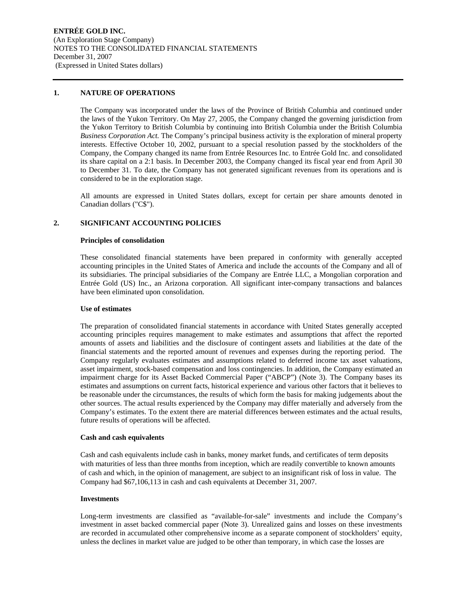## **1. NATURE OF OPERATIONS**

The Company was incorporated under the laws of the Province of British Columbia and continued under the laws of the Yukon Territory. On May 27, 2005, the Company changed the governing jurisdiction from the Yukon Territory to British Columbia by continuing into British Columbia under the British Columbia *Business Corporation Act.* The Company's principal business activity is the exploration of mineral property interests. Effective October 10, 2002, pursuant to a special resolution passed by the stockholders of the Company, the Company changed its name from Entrée Resources Inc. to Entrée Gold Inc. and consolidated its share capital on a 2:1 basis. In December 2003, the Company changed its fiscal year end from April 30 to December 31. To date, the Company has not generated significant revenues from its operations and is considered to be in the exploration stage.

All amounts are expressed in United States dollars, except for certain per share amounts denoted in Canadian dollars ("C\$").

## **2. SIGNIFICANT ACCOUNTING POLICIES**

## **Principles of consolidation**

These consolidated financial statements have been prepared in conformity with generally accepted accounting principles in the United States of America and include the accounts of the Company and all of its subsidiaries. The principal subsidiaries of the Company are Entrée LLC, a Mongolian corporation and Entrée Gold (US) Inc., an Arizona corporation. All significant inter-company transactions and balances have been eliminated upon consolidation.

## **Use of estimates**

The preparation of consolidated financial statements in accordance with United States generally accepted accounting principles requires management to make estimates and assumptions that affect the reported amounts of assets and liabilities and the disclosure of contingent assets and liabilities at the date of the financial statements and the reported amount of revenues and expenses during the reporting period. The Company regularly evaluates estimates and assumptions related to deferred income tax asset valuations, asset impairment, stock-based compensation and loss contingencies. In addition, the Company estimated an impairment charge for its Asset Backed Commercial Paper ("ABCP") (Note 3). The Company bases its estimates and assumptions on current facts, historical experience and various other factors that it believes to be reasonable under the circumstances, the results of which form the basis for making judgements about the other sources. The actual results experienced by the Company may differ materially and adversely from the Company's estimates. To the extent there are material differences between estimates and the actual results, future results of operations will be affected.

## **Cash and cash equivalents**

Cash and cash equivalents include cash in banks, money market funds, and certificates of term deposits with maturities of less than three months from inception, which are readily convertible to known amounts of cash and which, in the opinion of management, are subject to an insignificant risk of loss in value. The Company had \$67,106,113 in cash and cash equivalents at December 31, 2007.

## **Investments**

Long-term investments are classified as "available-for-sale" investments and include the Company's investment in asset backed commercial paper (Note 3). Unrealized gains and losses on these investments are recorded in accumulated other comprehensive income as a separate component of stockholders' equity, unless the declines in market value are judged to be other than temporary, in which case the losses are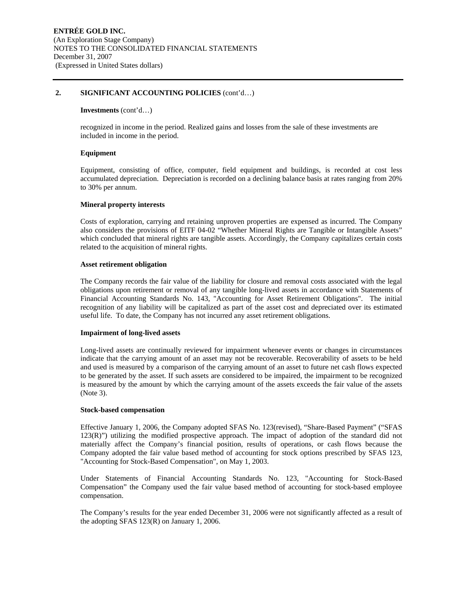## **2. SIGNIFICANT ACCOUNTING POLICIES** (cont'd…)

## **Investments** (cont'd…)

recognized in income in the period. Realized gains and losses from the sale of these investments are included in income in the period.

## **Equipment**

Equipment, consisting of office, computer, field equipment and buildings, is recorded at cost less accumulated depreciation. Depreciation is recorded on a declining balance basis at rates ranging from 20% to 30% per annum.

## **Mineral property interests**

Costs of exploration, carrying and retaining unproven properties are expensed as incurred. The Company also considers the provisions of EITF 04-02 "Whether Mineral Rights are Tangible or Intangible Assets" which concluded that mineral rights are tangible assets. Accordingly, the Company capitalizes certain costs related to the acquisition of mineral rights.

## **Asset retirement obligation**

The Company records the fair value of the liability for closure and removal costs associated with the legal obligations upon retirement or removal of any tangible long-lived assets in accordance with Statements of Financial Accounting Standards No. 143, "Accounting for Asset Retirement Obligations". The initial recognition of any liability will be capitalized as part of the asset cost and depreciated over its estimated useful life. To date, the Company has not incurred any asset retirement obligations.

## **Impairment of long-lived assets**

Long-lived assets are continually reviewed for impairment whenever events or changes in circumstances indicate that the carrying amount of an asset may not be recoverable. Recoverability of assets to be held and used is measured by a comparison of the carrying amount of an asset to future net cash flows expected to be generated by the asset. If such assets are considered to be impaired, the impairment to be recognized is measured by the amount by which the carrying amount of the assets exceeds the fair value of the assets (Note 3).

## **Stock-based compensation**

Effective January 1, 2006, the Company adopted SFAS No. 123(revised), "Share-Based Payment" ("SFAS 123(R)") utilizing the modified prospective approach. The impact of adoption of the standard did not materially affect the Company's financial position, results of operations, or cash flows because the Company adopted the fair value based method of accounting for stock options prescribed by SFAS 123, "Accounting for Stock-Based Compensation", on May 1, 2003.

Under Statements of Financial Accounting Standards No. 123, "Accounting for Stock-Based Compensation" the Company used the fair value based method of accounting for stock-based employee compensation.

The Company's results for the year ended December 31, 2006 were not significantly affected as a result of the adopting SFAS 123(R) on January 1, 2006.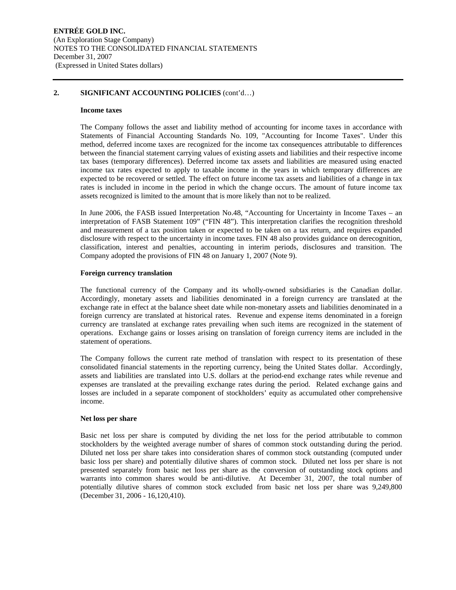## **2. SIGNIFICANT ACCOUNTING POLICIES** (cont'd…)

#### **Income taxes**

The Company follows the asset and liability method of accounting for income taxes in accordance with Statements of Financial Accounting Standards No. 109, "Accounting for Income Taxes". Under this method, deferred income taxes are recognized for the income tax consequences attributable to differences between the financial statement carrying values of existing assets and liabilities and their respective income tax bases (temporary differences). Deferred income tax assets and liabilities are measured using enacted income tax rates expected to apply to taxable income in the years in which temporary differences are expected to be recovered or settled. The effect on future income tax assets and liabilities of a change in tax rates is included in income in the period in which the change occurs. The amount of future income tax assets recognized is limited to the amount that is more likely than not to be realized.

In June 2006, the FASB issued Interpretation No.48, "Accounting for Uncertainty in Income Taxes – an interpretation of FASB Statement 109" ("FIN 48"). This interpretation clarifies the recognition threshold and measurement of a tax position taken or expected to be taken on a tax return, and requires expanded disclosure with respect to the uncertainty in income taxes. FIN 48 also provides guidance on derecognition, classification, interest and penalties, accounting in interim periods, disclosures and transition. The Company adopted the provisions of FIN 48 on January 1, 2007 (Note 9).

## **Foreign currency translation**

The functional currency of the Company and its wholly-owned subsidiaries is the Canadian dollar. Accordingly, monetary assets and liabilities denominated in a foreign currency are translated at the exchange rate in effect at the balance sheet date while non-monetary assets and liabilities denominated in a foreign currency are translated at historical rates. Revenue and expense items denominated in a foreign currency are translated at exchange rates prevailing when such items are recognized in the statement of operations. Exchange gains or losses arising on translation of foreign currency items are included in the statement of operations.

The Company follows the current rate method of translation with respect to its presentation of these consolidated financial statements in the reporting currency, being the United States dollar. Accordingly, assets and liabilities are translated into U.S. dollars at the period-end exchange rates while revenue and expenses are translated at the prevailing exchange rates during the period. Related exchange gains and losses are included in a separate component of stockholders' equity as accumulated other comprehensive income.

## **Net loss per share**

Basic net loss per share is computed by dividing the net loss for the period attributable to common stockholders by the weighted average number of shares of common stock outstanding during the period. Diluted net loss per share takes into consideration shares of common stock outstanding (computed under basic loss per share) and potentially dilutive shares of common stock. Diluted net loss per share is not presented separately from basic net loss per share as the conversion of outstanding stock options and warrants into common shares would be anti-dilutive. At December 31, 2007, the total number of potentially dilutive shares of common stock excluded from basic net loss per share was 9,249,800 (December 31, 2006 - 16,120,410).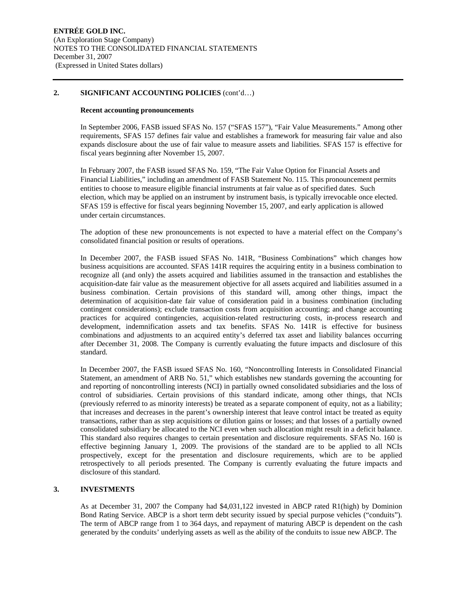## **2. SIGNIFICANT ACCOUNTING POLICIES** (cont'd…)

## **Recent accounting pronouncements**

In September 2006, FASB issued SFAS No. 157 ("SFAS 157"), "Fair Value Measurements." Among other requirements, SFAS 157 defines fair value and establishes a framework for measuring fair value and also expands disclosure about the use of fair value to measure assets and liabilities. SFAS 157 is effective for fiscal years beginning after November 15, 2007.

In February 2007, the FASB issued SFAS No. 159, "The Fair Value Option for Financial Assets and Financial Liabilities," including an amendment of FASB Statement No. 115. This pronouncement permits entities to choose to measure eligible financial instruments at fair value as of specified dates. Such election, which may be applied on an instrument by instrument basis, is typically irrevocable once elected. SFAS 159 is effective for fiscal years beginning November 15, 2007, and early application is allowed under certain circumstances.

The adoption of these new pronouncements is not expected to have a material effect on the Company's consolidated financial position or results of operations.

In December 2007, the FASB issued SFAS No. 141R, "Business Combinations" which changes how business acquisitions are accounted. SFAS 141R requires the acquiring entity in a business combination to recognize all (and only) the assets acquired and liabilities assumed in the transaction and establishes the acquisition-date fair value as the measurement objective for all assets acquired and liabilities assumed in a business combination. Certain provisions of this standard will, among other things, impact the determination of acquisition-date fair value of consideration paid in a business combination (including contingent considerations); exclude transaction costs from acquisition accounting; and change accounting practices for acquired contingencies, acquisition-related restructuring costs, in-process research and development, indemnification assets and tax benefits. SFAS No. 141R is effective for business combinations and adjustments to an acquired entity's deferred tax asset and liability balances occurring after December 31, 2008. The Company is currently evaluating the future impacts and disclosure of this standard.

In December 2007, the FASB issued SFAS No. 160, "Noncontrolling Interests in Consolidated Financial Statement, an amendment of ARB No. 51," which establishes new standards governing the accounting for and reporting of noncontrolling interests (NCI) in partially owned consolidated subsidiaries and the loss of control of subsidiaries. Certain provisions of this standard indicate, among other things, that NCIs (previously referred to as minority interests) be treated as a separate component of equity, not as a liability; that increases and decreases in the parent's ownership interest that leave control intact be treated as equity transactions, rather than as step acquisitions or dilution gains or losses; and that losses of a partially owned consolidated subsidiary be allocated to the NCI even when such allocation might result in a deficit balance. This standard also requires changes to certain presentation and disclosure requirements. SFAS No. 160 is effective beginning January 1, 2009. The provisions of the standard are to be applied to all NCIs prospectively, except for the presentation and disclosure requirements, which are to be applied retrospectively to all periods presented. The Company is currently evaluating the future impacts and disclosure of this standard.

## **3. INVESTMENTS**

As at December 31, 2007 the Company had \$4,031,122 invested in ABCP rated R1(high) by Dominion Bond Rating Service. ABCP is a short term debt security issued by special purpose vehicles ("conduits"). The term of ABCP range from 1 to 364 days, and repayment of maturing ABCP is dependent on the cash generated by the conduits' underlying assets as well as the ability of the conduits to issue new ABCP. The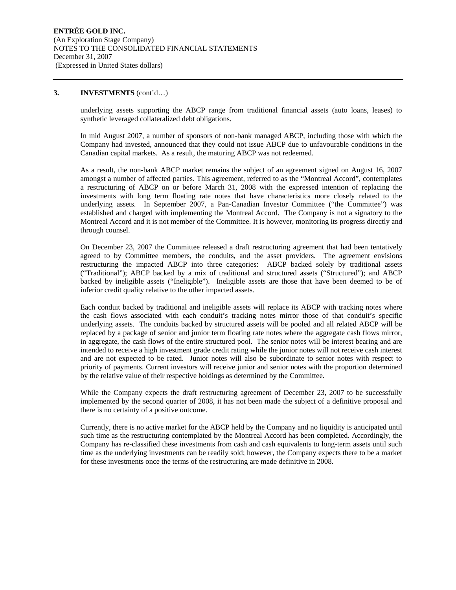## **3. INVESTMENTS** (cont'd…)

underlying assets supporting the ABCP range from traditional financial assets (auto loans, leases) to synthetic leveraged collateralized debt obligations.

In mid August 2007, a number of sponsors of non-bank managed ABCP, including those with which the Company had invested, announced that they could not issue ABCP due to unfavourable conditions in the Canadian capital markets. As a result, the maturing ABCP was not redeemed.

As a result, the non-bank ABCP market remains the subject of an agreement signed on August 16, 2007 amongst a number of affected parties. This agreement, referred to as the "Montreal Accord", contemplates a restructuring of ABCP on or before March 31, 2008 with the expressed intention of replacing the investments with long term floating rate notes that have characteristics more closely related to the underlying assets. In September 2007, a Pan-Canadian Investor Committee ("the Committee") was established and charged with implementing the Montreal Accord. The Company is not a signatory to the Montreal Accord and it is not member of the Committee. It is however, monitoring its progress directly and through counsel.

On December 23, 2007 the Committee released a draft restructuring agreement that had been tentatively agreed to by Committee members, the conduits, and the asset providers. The agreement envisions restructuring the impacted ABCP into three categories: ABCP backed solely by traditional assets ("Traditional"); ABCP backed by a mix of traditional and structured assets ("Structured"); and ABCP backed by ineligible assets ("Ineligible"). Ineligible assets are those that have been deemed to be of inferior credit quality relative to the other impacted assets.

Each conduit backed by traditional and ineligible assets will replace its ABCP with tracking notes where the cash flows associated with each conduit's tracking notes mirror those of that conduit's specific underlying assets. The conduits backed by structured assets will be pooled and all related ABCP will be replaced by a package of senior and junior term floating rate notes where the aggregate cash flows mirror, in aggregate, the cash flows of the entire structured pool. The senior notes will be interest bearing and are intended to receive a high investment grade credit rating while the junior notes will not receive cash interest and are not expected to be rated. Junior notes will also be subordinate to senior notes with respect to priority of payments. Current investors will receive junior and senior notes with the proportion determined by the relative value of their respective holdings as determined by the Committee.

While the Company expects the draft restructuring agreement of December 23, 2007 to be successfully implemented by the second quarter of 2008, it has not been made the subject of a definitive proposal and there is no certainty of a positive outcome.

Currently, there is no active market for the ABCP held by the Company and no liquidity is anticipated until such time as the restructuring contemplated by the Montreal Accord has been completed. Accordingly, the Company has re-classified these investments from cash and cash equivalents to long-term assets until such time as the underlying investments can be readily sold; however, the Company expects there to be a market for these investments once the terms of the restructuring are made definitive in 2008.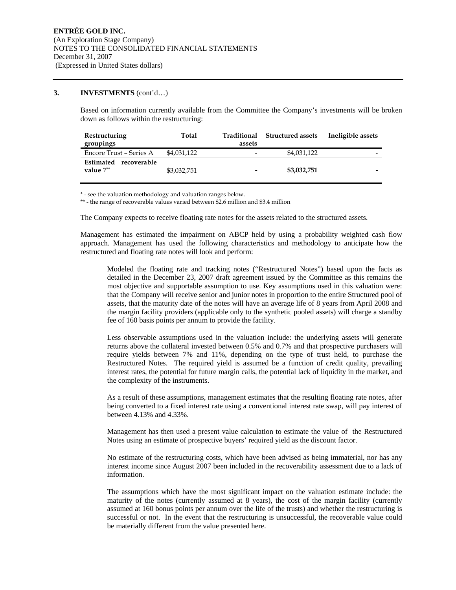## **3. INVESTMENTS** (cont'd…)

Based on information currently available from the Committee the Company's investments will be broken down as follows within the restructuring:

| Restructuring<br>groupings                     | Total       | Traditional<br>assets    | <b>Structured assets</b> | Ineligible assets |
|------------------------------------------------|-------------|--------------------------|--------------------------|-------------------|
| Encore Trust - Series A                        | \$4,031,122 | -                        | \$4,031,122              | -                 |
| Estimated recoverable<br>value $\mathcal{V}^*$ | \$3,032,751 | $\overline{\phantom{0}}$ | \$3,032,751              |                   |

\* - see the valuation methodology and valuation ranges below.

\*\* - the range of recoverable values varied between \$2.6 million and \$3.4 million

The Company expects to receive floating rate notes for the assets related to the structured assets.

Management has estimated the impairment on ABCP held by using a probability weighted cash flow approach. Management has used the following characteristics and methodology to anticipate how the restructured and floating rate notes will look and perform:

Modeled the floating rate and tracking notes ("Restructured Notes") based upon the facts as detailed in the December 23, 2007 draft agreement issued by the Committee as this remains the most objective and supportable assumption to use. Key assumptions used in this valuation were: that the Company will receive senior and junior notes in proportion to the entire Structured pool of assets, that the maturity date of the notes will have an average life of 8 years from April 2008 and the margin facility providers (applicable only to the synthetic pooled assets) will charge a standby fee of 160 basis points per annum to provide the facility.

Less observable assumptions used in the valuation include: the underlying assets will generate returns above the collateral invested between 0.5% and 0.7% and that prospective purchasers will require yields between 7% and 11%, depending on the type of trust held, to purchase the Restructured Notes. The required yield is assumed be a function of credit quality, prevailing interest rates, the potential for future margin calls, the potential lack of liquidity in the market, and the complexity of the instruments.

As a result of these assumptions, management estimates that the resulting floating rate notes, after being converted to a fixed interest rate using a conventional interest rate swap, will pay interest of between 4.13% and 4.33%.

Management has then used a present value calculation to estimate the value of the Restructured Notes using an estimate of prospective buyers' required yield as the discount factor.

No estimate of the restructuring costs, which have been advised as being immaterial, nor has any interest income since August 2007 been included in the recoverability assessment due to a lack of information.

The assumptions which have the most significant impact on the valuation estimate include: the maturity of the notes (currently assumed at 8 years), the cost of the margin facility (currently assumed at 160 bonus points per annum over the life of the trusts) and whether the restructuring is successful or not. In the event that the restructuring is unsuccessful, the recoverable value could be materially different from the value presented here.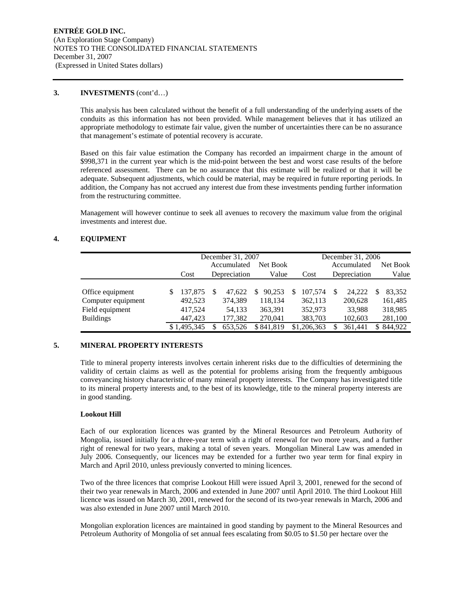## **3. INVESTMENTS** (cont'd…)

This analysis has been calculated without the benefit of a full understanding of the underlying assets of the conduits as this information has not been provided. While management believes that it has utilized an appropriate methodology to estimate fair value, given the number of uncertainties there can be no assurance that management's estimate of potential recovery is accurate.

Based on this fair value estimation the Company has recorded an impairment charge in the amount of \$998,371 in the current year which is the mid-point between the best and worst case results of the before referenced assessment. There can be no assurance that this estimate will be realized or that it will be adequate. Subsequent adjustments, which could be material, may be required in future reporting periods. In addition, the Company has not accrued any interest due from these investments pending further information from the restructuring committee.

Management will however continue to seek all avenues to recovery the maximum value from the original investments and interest due.

## **4. EQUIPMENT**

|                    | December 31, 2007 |    |              |             |   |             | December 31, 2006 |   |           |
|--------------------|-------------------|----|--------------|-------------|---|-------------|-------------------|---|-----------|
|                    |                   |    | Accumulated  | Net Book    |   |             | Accumulated       |   | Net Book  |
|                    | Cost              |    | Depreciation | Value       |   | Cost        | Depreciation      |   | Value     |
|                    |                   |    |              |             |   |             |                   |   |           |
| Office equipment   | 137,875           | -S | 47.622       | 90.253<br>S | S | 107,574     | 24.222            | S | 83,352    |
| Computer equipment | 492,523           |    | 374,389      | 118,134     |   | 362,113     | 200,628           |   | 161,485   |
| Field equipment    | 417,524           |    | 54.133       | 363,391     |   | 352,973     | 33,988            |   | 318,985   |
| <b>Buildings</b>   | 447.423           |    | 177,382      | 270,041     |   | 383,703     | 102,603           |   | 281,100   |
|                    | \$1,495,345       | S  | 653.526      | \$841,819   |   | \$1,206,363 | 361.441           |   | \$844,922 |

## **5. MINERAL PROPERTY INTERESTS**

Title to mineral property interests involves certain inherent risks due to the difficulties of determining the validity of certain claims as well as the potential for problems arising from the frequently ambiguous conveyancing history characteristic of many mineral property interests. The Company has investigated title to its mineral property interests and, to the best of its knowledge, title to the mineral property interests are in good standing.

## **Lookout Hill**

Each of our exploration licences was granted by the Mineral Resources and Petroleum Authority of Mongolia, issued initially for a three-year term with a right of renewal for two more years, and a further right of renewal for two years, making a total of seven years. Mongolian Mineral Law was amended in July 2006. Consequently, our licences may be extended for a further two year term for final expiry in March and April 2010, unless previously converted to mining licences.

Two of the three licences that comprise Lookout Hill were issued April 3, 2001, renewed for the second of their two year renewals in March, 2006 and extended in June 2007 until April 2010. The third Lookout Hill licence was issued on March 30, 2001, renewed for the second of its two-year renewals in March, 2006 and was also extended in June 2007 until March 2010.

Mongolian exploration licences are maintained in good standing by payment to the Mineral Resources and Petroleum Authority of Mongolia of set annual fees escalating from \$0.05 to \$1.50 per hectare over the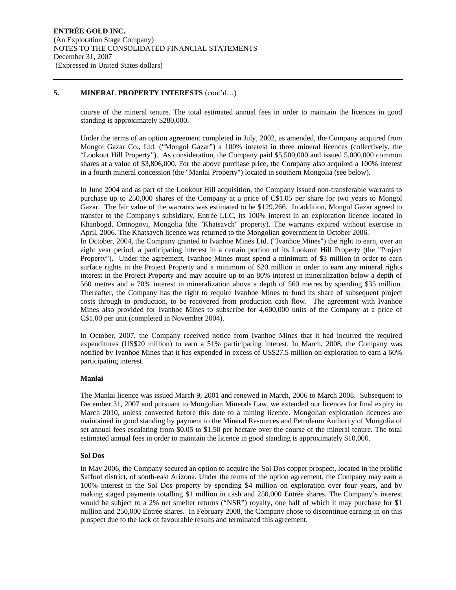## **5. MINERAL PROPERTY INTERESTS** (cont'd…)

course of the mineral tenure. The total estimated annual fees in order to maintain the licences in good standing is approximately \$280,000.

Under the terms of an option agreement completed in July, 2002, as amended, the Company acquired from Mongol Gazar Co., Ltd. ("Mongol Gazar") a 100% interest in three mineral licences (collectively, the "Lookout Hill Property"). As consideration, the Company paid \$5,500,000 and issued 5,000,000 common shares at a value of \$3,806,000. For the above purchase price, the Company also acquired a 100% interest in a fourth mineral concession (the "Manlai Property") located in southern Mongolia (see below).

In June 2004 and as part of the Lookout Hill acquisition, the Company issued non-transferable warrants to purchase up to 250,000 shares of the Company at a price of C\$1.05 per share for two years to Mongol Gazar. The fair value of the warrants was estimated to be \$129,266. In addition, Mongol Gazar agreed to transfer to the Company's subsidiary, Entrée LLC, its 100% interest in an exploration licence located in Khanbogd, Omnogovi, Mongolia (the "Khatsavch" property). The warrants expired without exercise in April, 2006. The Khatsavch licence was returned to the Mongolian government in October 2006. In October, 2004, the Company granted to Ivanhoe Mines Ltd. ("Ivanhoe Mines") the right to earn, over an eight year period, a participating interest in a certain portion of its Lookout Hill Property (the "Project Property"). Under the agreement, Ivanhoe Mines must spend a minimum of \$3 million in order to earn surface rights in the Project Property and a minimum of \$20 million in order to earn any mineral rights interest in the Project Property and may acquire up to an 80% interest in mineralization below a depth of 560 metres and a 70% interest in mineralization above a depth of 560 metres by spending \$35 million. Thereafter, the Company has the right to require Ivanhoe Mines to fund its share of subsequent project costs through to production, to be recovered from production cash flow. The agreement with Ivanhoe Mines also provided for Ivanhoe Mines to subscribe for 4,600,000 units of the Company at a price of C\$1.00 per unit (completed in November 2004).

In October, 2007, the Company received notice from Ivanhoe Mines that it had incurred the required expenditures (US\$20 million) to earn a 51% participating interest. In March, 2008, the Company was notified by Ivanhoe Mines that it has expended in excess of US\$27.5 million on exploration to earn a 60% participating interest.

## **Manlai**

The Manlai licence was issued March 9, 2001 and renewed in March, 2006 to March 2008. Subsequent to December 31, 2007 and pursuant to Mongolian Minerals Law, we extended our licences for final expiry in March 2010, unless converted before this date to a mining licence. Mongolian exploration licences are maintained in good standing by payment to the Mineral Resources and Petroleum Authority of Mongolia of set annual fees escalating from \$0.05 to \$1.50 per hectare over the course of the mineral tenure. The total estimated annual fees in order to maintain the licence in good standing is approximately \$10,000.

## **Sol Dos**

In May 2006, the Company secured an option to acquire the Sol Dos copper prospect, located in the prolific Safford district, of south-east Arizona. Under the terms of the option agreement, the Company may earn a 100% interest in the Sol Dos property by spending \$4 million on exploration over four years, and by making staged payments totalling \$1 million in cash and 250,000 Entrée shares. The Company's interest would be subject to a 2% net smelter returns ("NSR") royalty, one half of which it may purchase for \$1 million and 250,000 Entrée shares. In February 2008, the Company chose to discontinue earning-in on this prospect due to the lack of favourable results and terminated this agreement.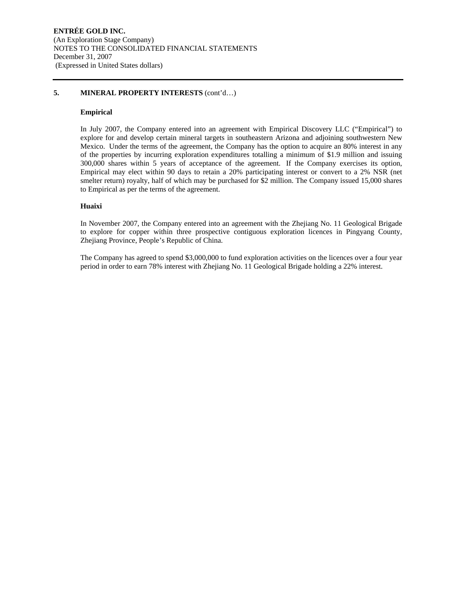## **5. MINERAL PROPERTY INTERESTS** (cont'd…)

## **Empirical**

In July 2007, the Company entered into an agreement with Empirical Discovery LLC ("Empirical") to explore for and develop certain mineral targets in southeastern Arizona and adjoining southwestern New Mexico. Under the terms of the agreement, the Company has the option to acquire an 80% interest in any of the properties by incurring exploration expenditures totalling a minimum of \$1.9 million and issuing 300,000 shares within 5 years of acceptance of the agreement. If the Company exercises its option, Empirical may elect within 90 days to retain a 20% participating interest or convert to a 2% NSR (net smelter return) royalty, half of which may be purchased for \$2 million. The Company issued 15,000 shares to Empirical as per the terms of the agreement.

## **Huaixi**

In November 2007, the Company entered into an agreement with the Zhejiang No. 11 Geological Brigade to explore for copper within three prospective contiguous exploration licences in Pingyang County, Zhejiang Province, People's Republic of China.

The Company has agreed to spend \$3,000,000 to fund exploration activities on the licences over a four year period in order to earn 78% interest with Zhejiang No. 11 Geological Brigade holding a 22% interest.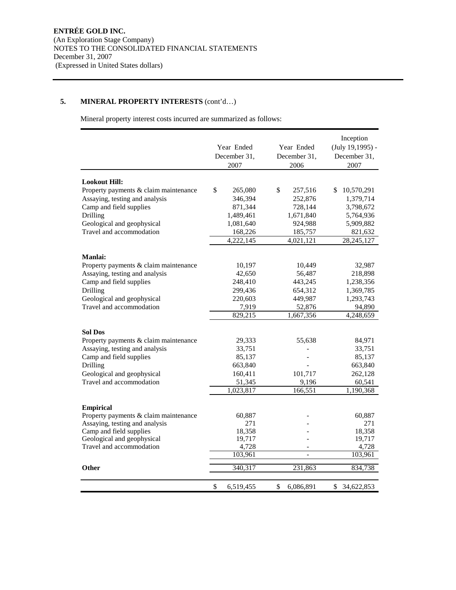## **5. MINERAL PROPERTY INTERESTS** (cont'd…)

Mineral property interest costs incurred are summarized as follows:

|                                                                         | Year Ended<br>December 31.<br>2007 | Year Ended<br>December 31,<br>2006 | Inception<br>(July 19,1995) -<br>December 31,<br>2007 |
|-------------------------------------------------------------------------|------------------------------------|------------------------------------|-------------------------------------------------------|
|                                                                         |                                    |                                    |                                                       |
| <b>Lookout Hill:</b>                                                    |                                    |                                    |                                                       |
| Property payments & claim maintenance                                   | \$<br>265,080                      | \$<br>257,516                      | \$<br>10,570,291                                      |
| Assaying, testing and analysis                                          | 346,394                            | 252,876                            | 1,379,714                                             |
| Camp and field supplies                                                 | 871,344                            | 728,144                            | 3,798,672                                             |
| Drilling                                                                | 1,489,461                          | 1,671,840                          | 5,764,936                                             |
| Geological and geophysical<br>Travel and accommodation                  | 1,081,640                          | 924,988                            | 5,909,882                                             |
|                                                                         | 168,226<br>4,222,145               | 185,757<br>4,021,121               | 821,632<br>28,245,127                                 |
|                                                                         |                                    |                                    |                                                       |
| <b>Manlai:</b>                                                          |                                    |                                    |                                                       |
| Property payments & claim maintenance                                   | 10,197                             | 10,449                             | 32,987                                                |
| Assaying, testing and analysis                                          | 42,650                             | 56,487                             | 218,898                                               |
| Camp and field supplies                                                 | 248,410                            | 443,245                            | 1,238,356                                             |
| Drilling                                                                | 299,436                            | 654,312                            | 1,369,785                                             |
| Geological and geophysical                                              | 220,603                            | 449,987                            | 1,293,743                                             |
| Travel and accommodation                                                | 7,919                              | 52,876                             | 94,890                                                |
|                                                                         | 829,215                            | 1,667,356                          | 4,248,659                                             |
|                                                                         |                                    |                                    |                                                       |
| <b>Sol Dos</b>                                                          |                                    |                                    |                                                       |
| Property payments & claim maintenance                                   | 29,333                             | 55,638                             | 84,971                                                |
| Assaying, testing and analysis                                          | 33,751                             |                                    | 33,751                                                |
| Camp and field supplies                                                 | 85,137                             |                                    | 85,137                                                |
| Drilling                                                                | 663,840                            |                                    | 663,840                                               |
| Geological and geophysical                                              | 160,411                            | 101,717                            | 262,128                                               |
| Travel and accommodation                                                | 51,345                             | 9,196                              | 60,541                                                |
|                                                                         | 1,023,817                          | 166,551                            | 1,190,368                                             |
|                                                                         |                                    |                                    |                                                       |
| <b>Empirical</b>                                                        |                                    |                                    |                                                       |
| Property payments & claim maintenance<br>Assaying, testing and analysis | 60,887<br>271                      |                                    | 60,887<br>271                                         |
| Camp and field supplies                                                 | 18,358                             |                                    | 18,358                                                |
| Geological and geophysical                                              | 19,717                             |                                    | 19,717                                                |
| Travel and accommodation                                                | 4,728                              |                                    | 4,728                                                 |
|                                                                         | 103,961                            | $\overline{\phantom{a}}$           | 103,961                                               |
| Other                                                                   |                                    |                                    |                                                       |
|                                                                         | 340,317                            | 231,863                            | 834,738                                               |
|                                                                         | \$<br>6,519,455                    | \$<br>6,086,891                    | 34,622,853<br>\$                                      |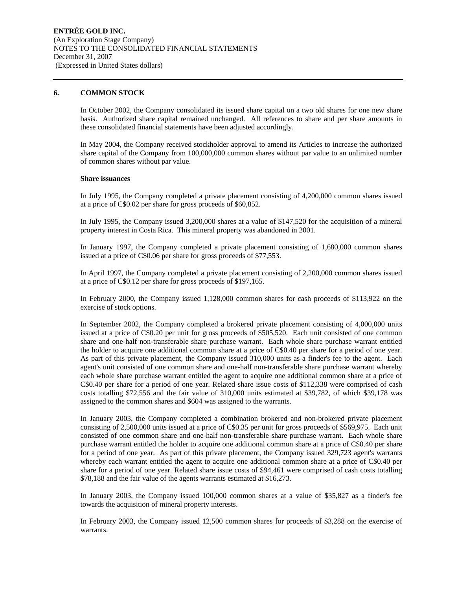## **6. COMMON STOCK**

In October 2002, the Company consolidated its issued share capital on a two old shares for one new share basis. Authorized share capital remained unchanged. All references to share and per share amounts in these consolidated financial statements have been adjusted accordingly.

In May 2004, the Company received stockholder approval to amend its Articles to increase the authorized share capital of the Company from 100,000,000 common shares without par value to an unlimited number of common shares without par value.

## **Share issuances**

In July 1995, the Company completed a private placement consisting of 4,200,000 common shares issued at a price of C\$0.02 per share for gross proceeds of \$60,852.

In July 1995, the Company issued 3,200,000 shares at a value of \$147,520 for the acquisition of a mineral property interest in Costa Rica. This mineral property was abandoned in 2001.

In January 1997, the Company completed a private placement consisting of 1,680,000 common shares issued at a price of C\$0.06 per share for gross proceeds of \$77,553.

In April 1997, the Company completed a private placement consisting of 2,200,000 common shares issued at a price of C\$0.12 per share for gross proceeds of \$197,165.

In February 2000, the Company issued 1,128,000 common shares for cash proceeds of \$113,922 on the exercise of stock options.

In September 2002, the Company completed a brokered private placement consisting of 4,000,000 units issued at a price of C\$0.20 per unit for gross proceeds of \$505,520. Each unit consisted of one common share and one-half non-transferable share purchase warrant. Each whole share purchase warrant entitled the holder to acquire one additional common share at a price of C\$0.40 per share for a period of one year. As part of this private placement, the Company issued 310,000 units as a finder's fee to the agent. Each agent's unit consisted of one common share and one-half non-transferable share purchase warrant whereby each whole share purchase warrant entitled the agent to acquire one additional common share at a price of C\$0.40 per share for a period of one year. Related share issue costs of \$112,338 were comprised of cash costs totalling \$72,556 and the fair value of 310,000 units estimated at \$39,782, of which \$39,178 was assigned to the common shares and \$604 was assigned to the warrants.

In January 2003, the Company completed a combination brokered and non-brokered private placement consisting of 2,500,000 units issued at a price of C\$0.35 per unit for gross proceeds of \$569,975. Each unit consisted of one common share and one-half non-transferable share purchase warrant. Each whole share purchase warrant entitled the holder to acquire one additional common share at a price of C\$0.40 per share for a period of one year. As part of this private placement, the Company issued 329,723 agent's warrants whereby each warrant entitled the agent to acquire one additional common share at a price of C\$0.40 per share for a period of one year. Related share issue costs of \$94,461 were comprised of cash costs totalling \$78,188 and the fair value of the agents warrants estimated at \$16,273.

In January 2003, the Company issued 100,000 common shares at a value of \$35,827 as a finder's fee towards the acquisition of mineral property interests.

In February 2003, the Company issued 12,500 common shares for proceeds of \$3,288 on the exercise of warrants.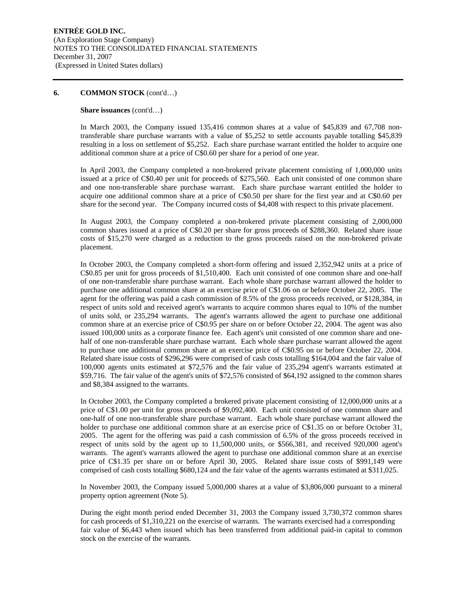#### **Share issuances** (cont'd…)

In March 2003, the Company issued 135,416 common shares at a value of \$45,839 and 67,708 nontransferable share purchase warrants with a value of \$5,252 to settle accounts payable totalling \$45,839 resulting in a loss on settlement of \$5,252. Each share purchase warrant entitled the holder to acquire one additional common share at a price of C\$0.60 per share for a period of one year.

In April 2003, the Company completed a non-brokered private placement consisting of 1,000,000 units issued at a price of C\$0.40 per unit for proceeds of \$275,560. Each unit consisted of one common share and one non-transferable share purchase warrant. Each share purchase warrant entitled the holder to acquire one additional common share at a price of C\$0.50 per share for the first year and at C\$0.60 per share for the second year. The Company incurred costs of \$4,408 with respect to this private placement.

In August 2003, the Company completed a non-brokered private placement consisting of 2,000,000 common shares issued at a price of C\$0.20 per share for gross proceeds of \$288,360. Related share issue costs of \$15,270 were charged as a reduction to the gross proceeds raised on the non-brokered private placement.

In October 2003, the Company completed a short-form offering and issued 2,352,942 units at a price of C\$0.85 per unit for gross proceeds of \$1,510,400. Each unit consisted of one common share and one-half of one non-transferable share purchase warrant. Each whole share purchase warrant allowed the holder to purchase one additional common share at an exercise price of C\$1.06 on or before October 22, 2005. The agent for the offering was paid a cash commission of 8.5% of the gross proceeds received, or \$128,384, in respect of units sold and received agent's warrants to acquire common shares equal to 10% of the number of units sold, or 235,294 warrants. The agent's warrants allowed the agent to purchase one additional common share at an exercise price of C\$0.95 per share on or before October 22, 2004. The agent was also issued 100,000 units as a corporate finance fee. Each agent's unit consisted of one common share and onehalf of one non-transferable share purchase warrant. Each whole share purchase warrant allowed the agent to purchase one additional common share at an exercise price of C\$0.95 on or before October 22, 2004. Related share issue costs of \$296,296 were comprised of cash costs totalling \$164,004 and the fair value of 100,000 agents units estimated at \$72,576 and the fair value of 235,294 agent's warrants estimated at \$59,716. The fair value of the agent's units of \$72,576 consisted of \$64,192 assigned to the common shares and \$8,384 assigned to the warrants.

In October 2003, the Company completed a brokered private placement consisting of 12,000,000 units at a price of C\$1.00 per unit for gross proceeds of \$9,092,400. Each unit consisted of one common share and one-half of one non-transferable share purchase warrant. Each whole share purchase warrant allowed the holder to purchase one additional common share at an exercise price of C\$1.35 on or before October 31, 2005. The agent for the offering was paid a cash commission of 6.5% of the gross proceeds received in respect of units sold by the agent up to 11,500,000 units, or \$566,381, and received 920,000 agent's warrants. The agent's warrants allowed the agent to purchase one additional common share at an exercise price of C\$1.35 per share on or before April 30, 2005. Related share issue costs of \$991,149 were comprised of cash costs totalling \$680,124 and the fair value of the agents warrants estimated at \$311,025.

In November 2003, the Company issued 5,000,000 shares at a value of \$3,806,000 pursuant to a mineral property option agreement (Note 5).

During the eight month period ended December 31, 2003 the Company issued 3,730,372 common shares for cash proceeds of \$1,310,221 on the exercise of warrants. The warrants exercised had a corresponding fair value of \$6,443 when issued which has been transferred from additional paid-in capital to common stock on the exercise of the warrants.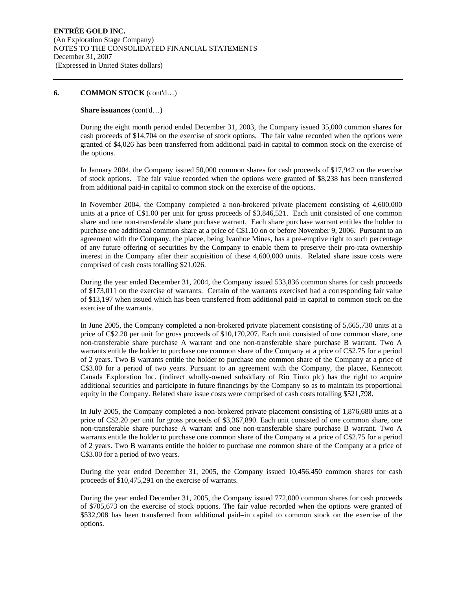## **Share issuances** (cont'd…)

During the eight month period ended December 31, 2003, the Company issued 35,000 common shares for cash proceeds of \$14,704 on the exercise of stock options. The fair value recorded when the options were granted of \$4,026 has been transferred from additional paid-in capital to common stock on the exercise of the options.

In January 2004, the Company issued 50,000 common shares for cash proceeds of \$17,942 on the exercise of stock options. The fair value recorded when the options were granted of \$8,238 has been transferred from additional paid-in capital to common stock on the exercise of the options.

In November 2004, the Company completed a non-brokered private placement consisting of 4,600,000 units at a price of C\$1.00 per unit for gross proceeds of \$3,846,521. Each unit consisted of one common share and one non-transferable share purchase warrant. Each share purchase warrant entitles the holder to purchase one additional common share at a price of C\$1.10 on or before November 9, 2006. Pursuant to an agreement with the Company, the placee, being Ivanhoe Mines, has a pre-emptive right to such percentage of any future offering of securities by the Company to enable them to preserve their pro-rata ownership interest in the Company after their acquisition of these 4,600,000 units. Related share issue costs were comprised of cash costs totalling \$21,026.

During the year ended December 31, 2004, the Company issued 533,836 common shares for cash proceeds of \$173,011 on the exercise of warrants. Certain of the warrants exercised had a corresponding fair value of \$13,197 when issued which has been transferred from additional paid-in capital to common stock on the exercise of the warrants.

In June 2005, the Company completed a non-brokered private placement consisting of 5,665,730 units at a price of C\$2.20 per unit for gross proceeds of \$10,170,207. Each unit consisted of one common share, one non-transferable share purchase A warrant and one non-transferable share purchase B warrant. Two A warrants entitle the holder to purchase one common share of the Company at a price of C\$2.75 for a period of 2 years. Two B warrants entitle the holder to purchase one common share of the Company at a price of C\$3.00 for a period of two years. Pursuant to an agreement with the Company, the placee, Kennecott Canada Exploration Inc. (indirect wholly-owned subsidiary of Rio Tinto plc) has the right to acquire additional securities and participate in future financings by the Company so as to maintain its proportional equity in the Company. Related share issue costs were comprised of cash costs totalling \$521,798.

In July 2005, the Company completed a non-brokered private placement consisting of 1,876,680 units at a price of C\$2.20 per unit for gross proceeds of \$3,367,890. Each unit consisted of one common share, one non-transferable share purchase A warrant and one non-transferable share purchase B warrant. Two A warrants entitle the holder to purchase one common share of the Company at a price of C\$2.75 for a period of 2 years. Two B warrants entitle the holder to purchase one common share of the Company at a price of C\$3.00 for a period of two years.

During the year ended December 31, 2005, the Company issued 10,456,450 common shares for cash proceeds of \$10,475,291 on the exercise of warrants.

During the year ended December 31, 2005, the Company issued 772,000 common shares for cash proceeds of \$705,673 on the exercise of stock options. The fair value recorded when the options were granted of \$532,908 has been transferred from additional paid–in capital to common stock on the exercise of the options.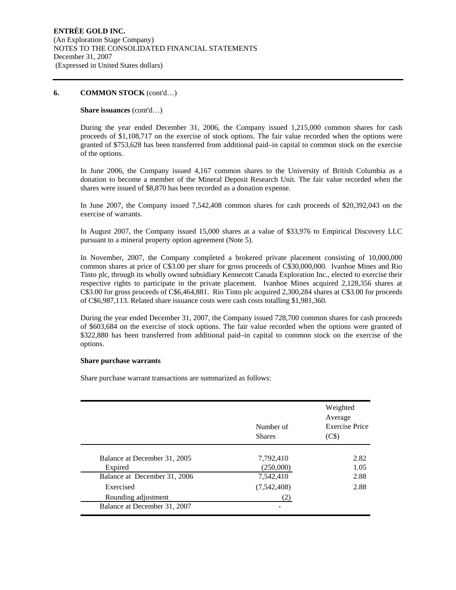## **Share issuances** (cont'd…)

During the year ended December 31, 2006, the Company issued 1,215,000 common shares for cash proceeds of \$1,108,717 on the exercise of stock options. The fair value recorded when the options were granted of \$753,628 has been transferred from additional paid–in capital to common stock on the exercise of the options.

In June 2006, the Company issued 4,167 common shares to the University of British Columbia as a donation to become a member of the Mineral Deposit Research Unit. The fair value recorded when the shares were issued of \$8,870 has been recorded as a donation expense.

In June 2007, the Company issued 7,542,408 common shares for cash proceeds of \$20,392,043 on the exercise of warrants.

In August 2007, the Company issued 15,000 shares at a value of \$33,976 to Empirical Discovery LLC pursuant to a mineral property option agreement (Note 5).

In November, 2007, the Company completed a brokered private placement consisting of 10,000,000 common shares at price of C\$3.00 per share for gross proceeds of C\$30,000,000. Ivanhoe Mines and Rio Tinto plc, through its wholly owned subsidiary Kennecott Canada Exploration Inc., elected to exercise their respective rights to participate in the private placement. Ivanhoe Mines acquired 2,128,356 shares at C\$3.00 for gross proceeds of C\$6,464,881. Rio Tinto plc acquired 2,300,284 shares at C\$3.00 for proceeds of C\$6,987,113. Related share issuance costs were cash costs totalling \$1,981,360.

During the year ended December 31, 2007, the Company issued 728,700 common shares for cash proceeds of \$603,684 on the exercise of stock options. The fair value recorded when the options were granted of \$322,880 has been transferred from additional paid–in capital to common stock on the exercise of the options.

## **Share purchase warrants**

Share purchase warrant transactions are summarized as follows:

|                              | Number of<br><b>Shares</b> | Weighted<br>Average<br><b>Exercise Price</b><br>(C <sub>s</sub> ) |
|------------------------------|----------------------------|-------------------------------------------------------------------|
| Balance at December 31, 2005 | 7,792,410                  | 2.82                                                              |
| Expired                      | (250,000)                  | 1.05                                                              |
| Balance at December 31, 2006 | 7,542,410                  | 2.88                                                              |
| Exercised                    | (7,542,408)                | 2.88                                                              |
| Rounding adjustment          |                            |                                                                   |
| Balance at December 31, 2007 |                            |                                                                   |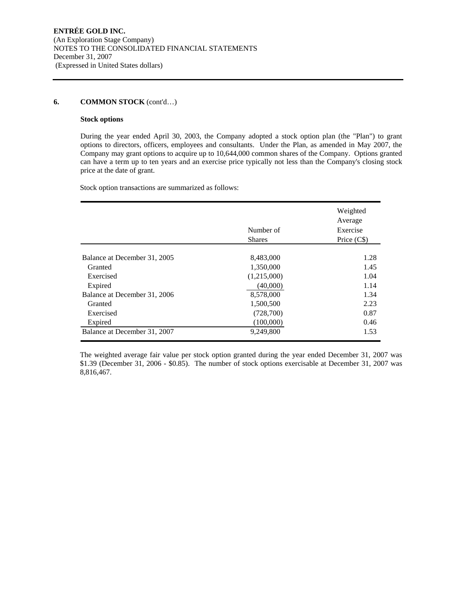## **Stock options**

During the year ended April 30, 2003, the Company adopted a stock option plan (the "Plan") to grant options to directors, officers, employees and consultants. Under the Plan, as amended in May 2007, the Company may grant options to acquire up to 10,644,000 common shares of the Company. Options granted can have a term up to ten years and an exercise price typically not less than the Company's closing stock price at the date of grant.

Stock option transactions are summarized as follows:

|                              | Number of<br><b>Shares</b> | Weighted<br>Average<br>Exercise<br>Price (C\$) |
|------------------------------|----------------------------|------------------------------------------------|
|                              |                            |                                                |
| Balance at December 31, 2005 | 8,483,000                  | 1.28                                           |
| Granted                      | 1,350,000                  | 1.45                                           |
| Exercised                    | (1,215,000)                | 1.04                                           |
| Expired                      | (40,000)                   | 1.14                                           |
| Balance at December 31, 2006 | 8,578,000                  | 1.34                                           |
| Granted                      | 1,500,500                  | 2.23                                           |
| Exercised                    | (728,700)                  | 0.87                                           |
| Expired                      | (100,000)                  | 0.46                                           |
| Balance at December 31, 2007 | 9,249,800                  | 1.53                                           |

The weighted average fair value per stock option granted during the year ended December 31, 2007 was \$1.39 (December 31, 2006 - \$0.85). The number of stock options exercisable at December 31, 2007 was 8,816,467.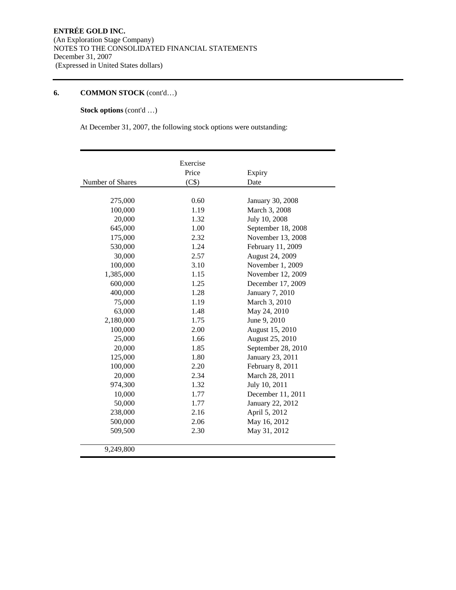## **Stock options** (cont'd …)

At December 31, 2007, the following stock options were outstanding:

|                  | Exercise |                    |
|------------------|----------|--------------------|
|                  | Price    | Expiry             |
| Number of Shares | (C\$)    | Date               |
|                  |          |                    |
| 275,000          | 0.60     | January 30, 2008   |
| 100,000          | 1.19     | March 3, 2008      |
| 20,000           | 1.32     | July 10, 2008      |
| 645,000          | 1.00     | September 18, 2008 |
| 175,000          | 2.32     | November 13, 2008  |
| 530,000          | 1.24     | February 11, 2009  |
| 30,000           | 2.57     | August 24, 2009    |
| 100,000          | 3.10     | November 1, 2009   |
| 1,385,000        | 1.15     | November 12, 2009  |
| 600,000          | 1.25     | December 17, 2009  |
| 400,000          | 1.28     | January 7, 2010    |
| 75,000           | 1.19     | March 3, 2010      |
| 63,000           | 1.48     | May 24, 2010       |
| 2,180,000        | 1.75     | June 9, 2010       |
| 100,000          | 2.00     | August 15, 2010    |
| 25,000           | 1.66     | August 25, 2010    |
| 20,000           | 1.85     | September 28, 2010 |
| 125,000          | 1.80     | January 23, 2011   |
| 100,000          | 2.20     | February 8, 2011   |
| 20,000           | 2.34     | March 28, 2011     |
| 974,300          | 1.32     | July 10, 2011      |
| 10,000           | 1.77     | December 11, 2011  |
| 50,000           | 1.77     | January 22, 2012   |
| 238,000          | 2.16     | April 5, 2012      |
| 500,000          | 2.06     | May 16, 2012       |
| 509,500          | 2.30     | May 31, 2012       |
| 9,249,800        |          |                    |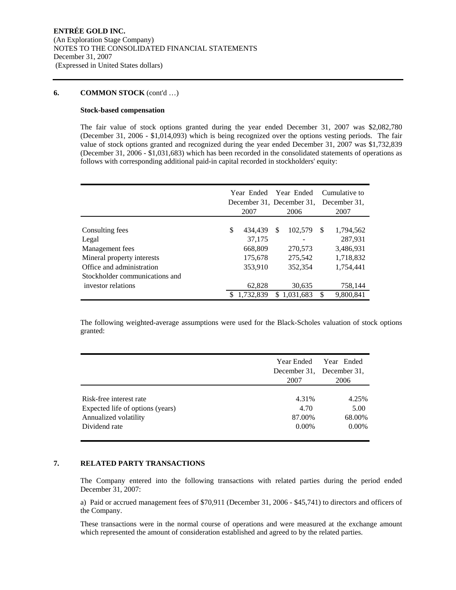## **Stock-based compensation**

The fair value of stock options granted during the year ended December 31, 2007 was \$2,082,780 (December 31, 2006 - \$1,014,093) which is being recognized over the options vesting periods. The fair value of stock options granted and recognized during the year ended December 31, 2007 was \$1,732,839 (December 31, 2006 - \$1,031,683) which has been recorded in the consolidated statements of operations as follows with corresponding additional paid-in capital recorded in stockholders' equity:

|                                | Year Ended<br>December 31, December 31,<br>2007 |    | Year Ended<br>2006 |   | Cumulative to<br>December 31.<br>2007 |
|--------------------------------|-------------------------------------------------|----|--------------------|---|---------------------------------------|
|                                |                                                 |    |                    |   |                                       |
| Consulting fees                | \$<br>434.439                                   | S  | 102,579            | S | 1,794,562                             |
| Legal                          | 37,175                                          |    |                    |   | 287,931                               |
| Management fees                | 668,809                                         |    | 270,573            |   | 3,486,931                             |
| Mineral property interests     | 175,678                                         |    | 275,542            |   | 1,718,832                             |
| Office and administration      | 353,910                                         |    | 352,354            |   | 1,754,441                             |
| Stockholder communications and |                                                 |    |                    |   |                                       |
| investor relations             | 62,828                                          |    | 30,635             |   | 758,144                               |
|                                | 1,732,839                                       | S. | 1.031.683          |   | 9,800,841                             |

The following weighted-average assumptions were used for the Black-Scholes valuation of stock options granted:

|                                  | Year Ended<br>December 31, December 31,<br>2007 | Year Ended<br>2006 |
|----------------------------------|-------------------------------------------------|--------------------|
| Risk-free interest rate          | 4.31%                                           | 4.25%              |
| Expected life of options (years) | 4.70                                            | 5.00               |
| Annualized volatility            | 87.00%                                          | 68.00%             |
| Dividend rate                    | $0.00\%$                                        | $0.00\%$           |

## **7. RELATED PARTY TRANSACTIONS**

The Company entered into the following transactions with related parties during the period ended December 31, 2007:

a) Paid or accrued management fees of \$70,911 (December 31, 2006 - \$45,741) to directors and officers of the Company.

These transactions were in the normal course of operations and were measured at the exchange amount which represented the amount of consideration established and agreed to by the related parties.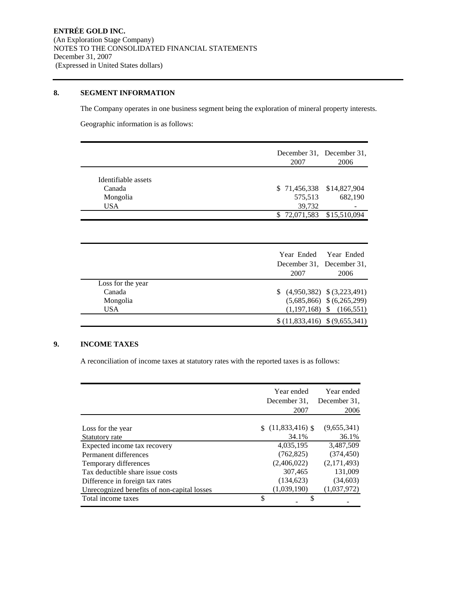## **8. SEGMENT INFORMATION**

The Company operates in one business segment being the exploration of mineral property interests.

Geographic information is as follows:

|                     | December 31, December 31,<br>2007<br>2006  |
|---------------------|--------------------------------------------|
| Identifiable assets |                                            |
| Canada              | \$71,456,338<br>\$14,827,904               |
| Mongolia            | 575,513<br>682,190                         |
| <b>USA</b>          | 39,732                                     |
|                     | $\overline{\$}$ 72,071,583<br>\$15,510,094 |
|                     | Year Ended<br>Year Ended                   |
|                     |                                            |
|                     | December 31, December 31,                  |
|                     | 2007<br>2006                               |
| Loss for the year   |                                            |
| Canada              | $(4,950,382)$ $(3,223,491)$                |
| Mongolia            | $(5,685,866)$ \$ $(6,265,299)$             |
| <b>USA</b>          | $(1,197,168)$ \$ $(166,551)$               |
|                     |                                            |

## **9. INCOME TAXES**

A reconciliation of income taxes at statutory rates with the reported taxes is as follows:

|                                             | Year ended<br>December 31,<br>2007 | Year ended<br>December 31,<br>2006 |
|---------------------------------------------|------------------------------------|------------------------------------|
|                                             |                                    |                                    |
| Loss for the year                           | \$(11,833,416)                     | (9,655,341)                        |
| Statutory rate                              | 34.1%                              | 36.1%                              |
| Expected income tax recovery                | 4,035,195                          | 3,487,509                          |
| Permanent differences                       | (762, 825)                         | (374, 450)                         |
| Temporary differences                       | (2,406,022)                        | (2,171,493)                        |
| Tax deductible share issue costs            | 307,465                            | 131,009                            |
| Difference in foreign tax rates             | (134, 623)                         | (34,603)                           |
| Unrecognized benefits of non-capital losses | (1,039,190)                        | (1,037,972)                        |
| Total income taxes                          | \$                                 |                                    |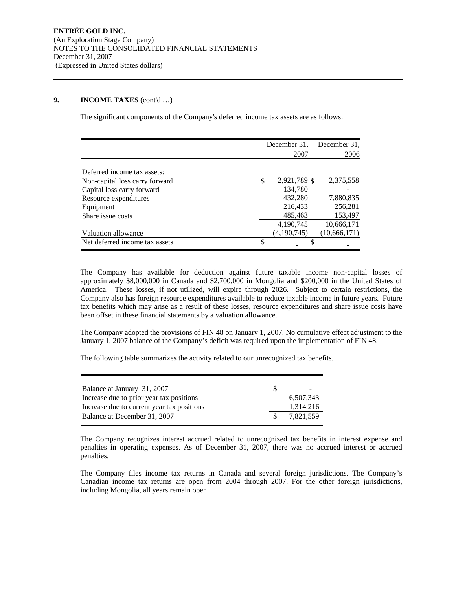## **9. INCOME TAXES** (cont'd …)

The significant components of the Company's deferred income tax assets are as follows:

|                                | December 31.       | December 31.   |
|--------------------------------|--------------------|----------------|
|                                | 2007               | 2006           |
|                                |                    |                |
| Deferred income tax assets:    |                    |                |
| Non-capital loss carry forward | \$<br>2,921,789 \$ | 2,375,558      |
| Capital loss carry forward     | 134,780            |                |
| Resource expenditures          | 432,280            | 7,880,835      |
| Equipment                      | 216,433            | 256,281        |
| Share issue costs              | 485,463            | 153,497        |
|                                | 4,190,745          | 10,666,171     |
| Valuation allowance            | (4,190,745)        | (10, 666, 171) |
| Net deferred income tax assets | \$                 |                |

The Company has available for deduction against future taxable income non-capital losses of approximately \$8,000,000 in Canada and \$2,700,000 in Mongolia and \$200,000 in the United States of America. These losses, if not utilized, will expire through 2026. Subject to certain restrictions, the Company also has foreign resource expenditures available to reduce taxable income in future years. Future tax benefits which may arise as a result of these losses, resource expenditures and share issue costs have been offset in these financial statements by a valuation allowance.

The Company adopted the provisions of FIN 48 on January 1, 2007. No cumulative effect adjustment to the January 1, 2007 balance of the Company's deficit was required upon the implementation of FIN 48.

The following table summarizes the activity related to our unrecognized tax benefits.

| Balance at January 31, 2007                | $\overline{\phantom{a}}$ |
|--------------------------------------------|--------------------------|
| Increase due to prior year tax positions   | 6.507.343                |
| Increase due to current year tax positions | 1,314,216                |
| Balance at December 31, 2007               | 7.821.559                |

The Company recognizes interest accrued related to unrecognized tax benefits in interest expense and penalties in operating expenses. As of December 31, 2007, there was no accrued interest or accrued penalties.

The Company files income tax returns in Canada and several foreign jurisdictions. The Company's Canadian income tax returns are open from 2004 through 2007. For the other foreign jurisdictions, including Mongolia, all years remain open.